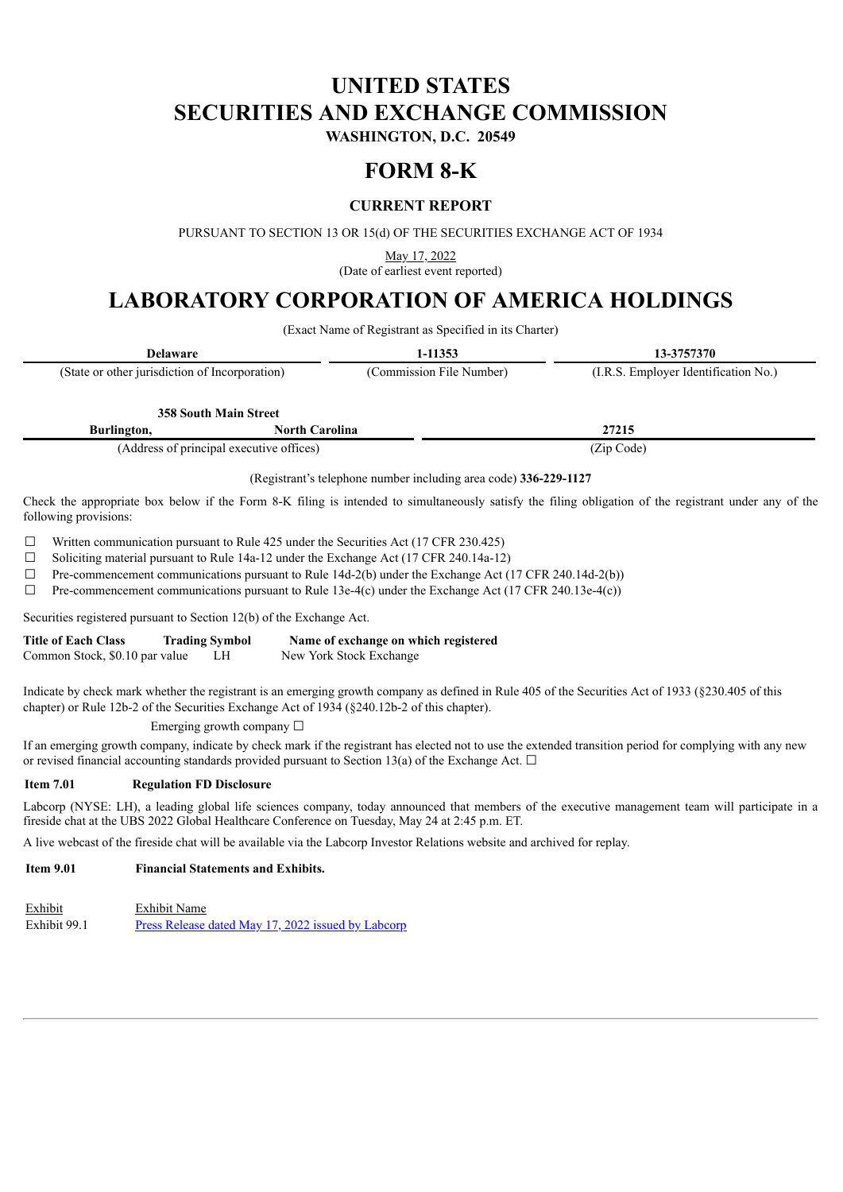# **UNITED STATES SECURITIES AND EXCHANGE COMMISSION**

**WASHINGTON, D.C. 20549**

## **FORM 8-K**

## **CURRENT REPORT**

PURSUANT TO SECTION 13 OR 15(d) OF THE SECURITIES EXCHANGE ACT OF 1934

May 17, 2022

(Date of earliest event reported)

## **LABORATORY CORPORATION OF AMERICA HOLDINGS**

(Exact Name of Registrant as Specified in its Charter)

| <b>Delaware</b>                                |                              | 1-11353                  | 13-3757370                           |  |
|------------------------------------------------|------------------------------|--------------------------|--------------------------------------|--|
| (State or other jurisdiction of Incorporation) |                              | (Commission File Number) | (I.R.S. Employer Identification No.) |  |
|                                                |                              |                          |                                      |  |
|                                                | <b>358 South Main Street</b> |                          |                                      |  |
| Burlington,                                    | <b>North Carolina</b>        |                          | 27215                                |  |

(Address of principal executive offices) (Zip Code)

(Registrant's telephone number including area code) **336-229-1127**

Check the appropriate box below if the Form 8-K filing is intended to simultaneously satisfy the filing obligation of the registrant under any of the following provisions:

 $\Box$  Written communication pursuant to Rule 425 under the Securities Act (17 CFR 230.425)

☐ Soliciting material pursuant to Rule 14a-12 under the Exchange Act (17 CFR 240.14a-12)

☐ Pre-commencement communications pursuant to Rule 14d-2(b) under the Exchange Act (17 CFR 240.14d-2(b))

 $\Box$  Pre-commencement communications pursuant to Rule 13e-4(c) under the Exchange Act (17 CFR 240.13e-4(c))

Securities registered pursuant to Section 12(b) of the Exchange Act.

| <b>Title of Each Class</b>     | <b>Trading Symbol</b> | Name of exchange on which registered |
|--------------------------------|-----------------------|--------------------------------------|
| Common Stock, \$0.10 par value |                       | New York Stock Exchange              |

Indicate by check mark whether the registrant is an emerging growth company as defined in Rule 405 of the Securities Act of 1933 (§230.405 of this chapter) or Rule 12b-2 of the Securities Exchange Act of 1934 (§240.12b-2 of this chapter).

### Emerging growth company ☐

If an emerging growth company, indicate by check mark if the registrant has elected not to use the extended transition period for complying with any new or revised financial accounting standards provided pursuant to Section 13(a) of the Exchange Act.  $\Box$ 

### **Item 7.01 Regulation FD Disclosure**

Labcorp (NYSE: LH), a leading global life sciences company, today announced that members of the executive management team will participate in a fireside chat at the UBS 2022 Global Healthcare Conference on Tuesday, May 24 at 2:45 p.m. ET.

A live webcast of the fireside chat will be available via the Labcorp Investor Relations website and archived for replay.

## **Item 9.01 Financial Statements and Exhibits.**

Exhibit Exhibit Name Exhibit 99.1 Press Release dated May 17, 2022 issued by [Labcorp](#page-2-0)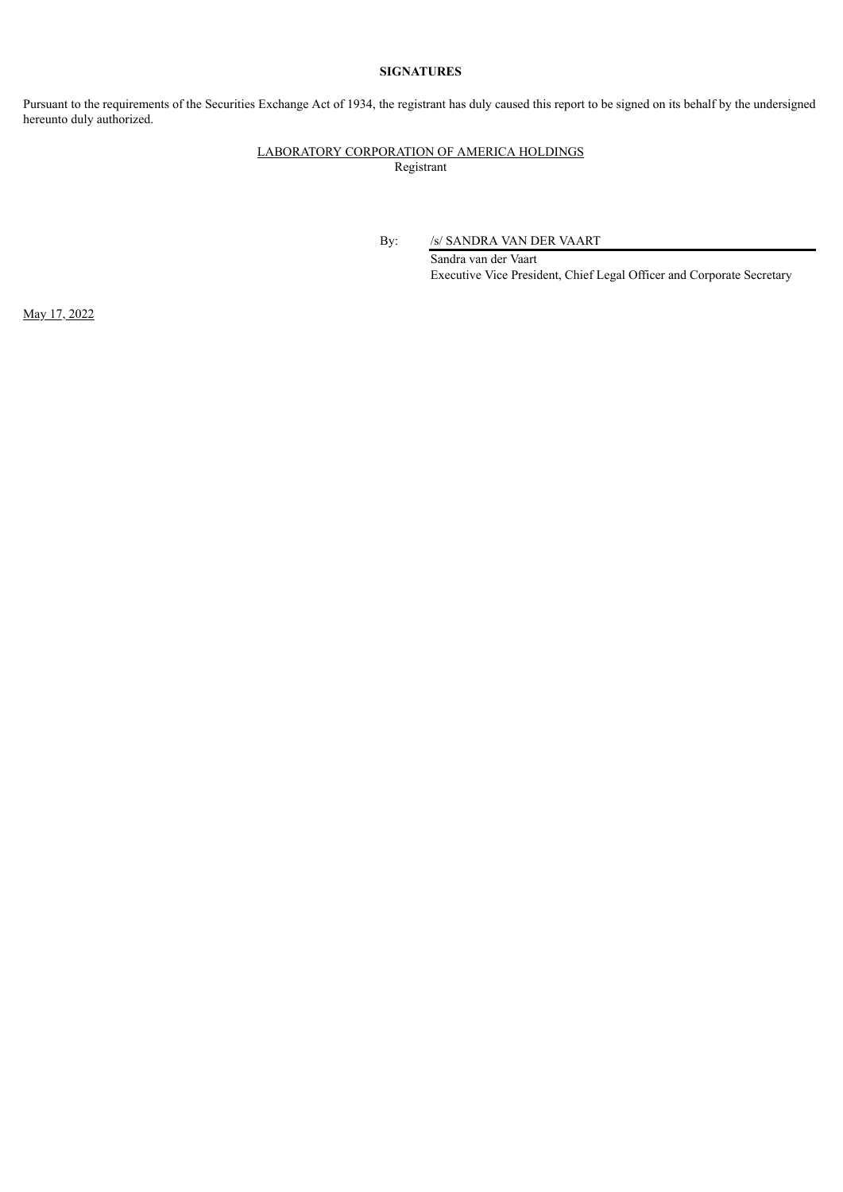### **SIGNATURES**

Pursuant to the requirements of the Securities Exchange Act of 1934, the registrant has duly caused this report to be signed on its behalf by the undersigned hereunto duly authorized.

## LABORATORY CORPORATION OF AMERICA HOLDINGS Registrant

By: /s/ SANDRA VAN DER VAART

Sandra van der Vaart Executive Vice President, Chief Legal Officer and Corporate Secretary

May 17, 2022